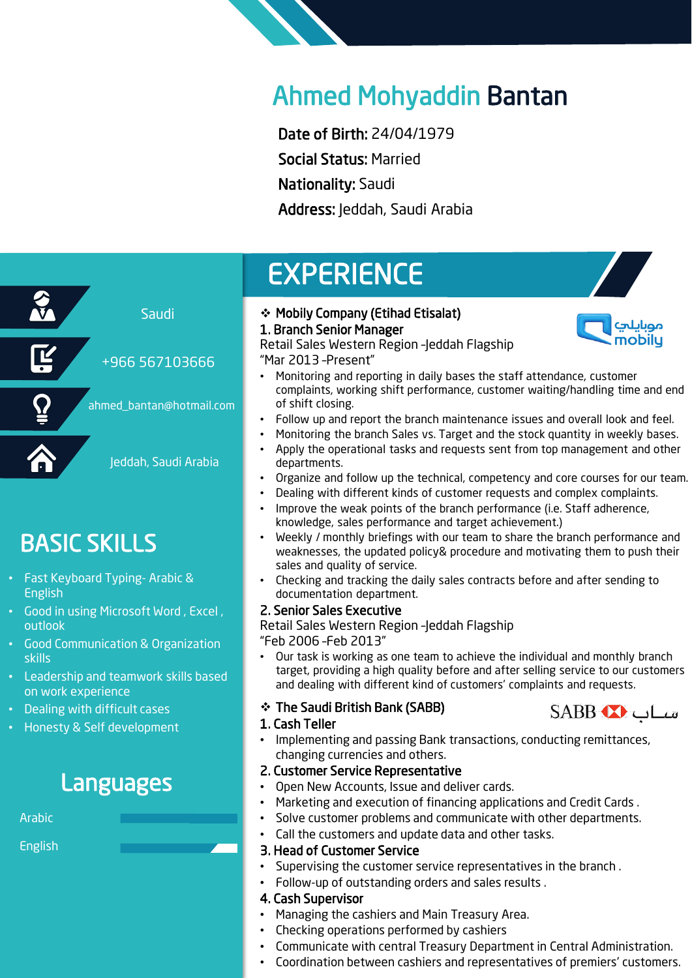### Ahmed Mohyaddin Bantan

Date of Birth: 24/04/1979 Social Status: Married Nationality: Saudi Address: Jeddah, Saudi Arabia

# Saudi Jeddah, Saudi Arabia +966 567103666 ahmed\_bantan@hotmail.com

### BASIC SKILLS

- Fast Keyboard Typing- Arabic & English
- Good in using Microsoft Word, Excel, outlook
- Good Communication & Organization skills
- Leadership and teamwork skills based on work experience
- Dealing with difficult cases
- Honesty & Self development

### Languages

Arabic

English

#### ❖ Mobily Company (Etihad Etisalat) 1. Branch Senior Manager

**EXPERIENCE** 



Retail Sales Western Region –Jeddah Flagship "Mar 2013 –Present"

- Monitoring and reporting in daily bases the staff attendance, customer complaints, working shift performance, customer waiting/handling time and end of shift closing.
- Follow up and report the branch maintenance issues and overall look and feel.
- Monitoring the branch Sales vs. Target and the stock quantity in weekly bases.
- Apply the operational tasks and requests sent from top management and other departments.
- Organize and follow up the technical, competency and core courses for our team.
- Dealing with different kinds of customer requests and complex complaints.
- Improve the weak points of the branch performance (i.e. Staff adherence, knowledge, sales performance and target achievement.)
- Weekly / monthly briefings with our team to share the branch performance and weaknesses, the updated policy& procedure and motivating them to push their sales and quality of service.
- Checking and tracking the daily sales contracts before and after sending to documentation department.

#### 2. Senior Sales Executive

Retail Sales Western Region –Jeddah Flagship "Feb 2006 –Feb 2013"

• Our task is working as one team to achieve the individual and monthly branch target, providing a high quality before and after selling service to our customers and dealing with different kind of customers' complaints and requests.

#### ❖ The Saudi British Bank (SABB)



#### 1. Cash Teller

• Implementing and passing Bank transactions, conducting remittances, changing currencies and others.

#### 2. Customer Service Representative

- Open New Accounts, Issue and deliver cards.
- Marketing and execution of financing applications and Credit Cards .
- Solve customer problems and communicate with other departments.
- Call the customers and update data and other tasks.

#### 3. Head of Customer Service

- Supervising the customer service representatives in the branch.
- Follow-up of outstanding orders and sales results .

#### 4. Cash Supervisor

- Managing the cashiers and Main Treasury Area.
- Checking operations performed by cashiers
- Communicate with central Treasury Department in Central Administration.
- Coordination between cashiers and representatives of premiers' customers.